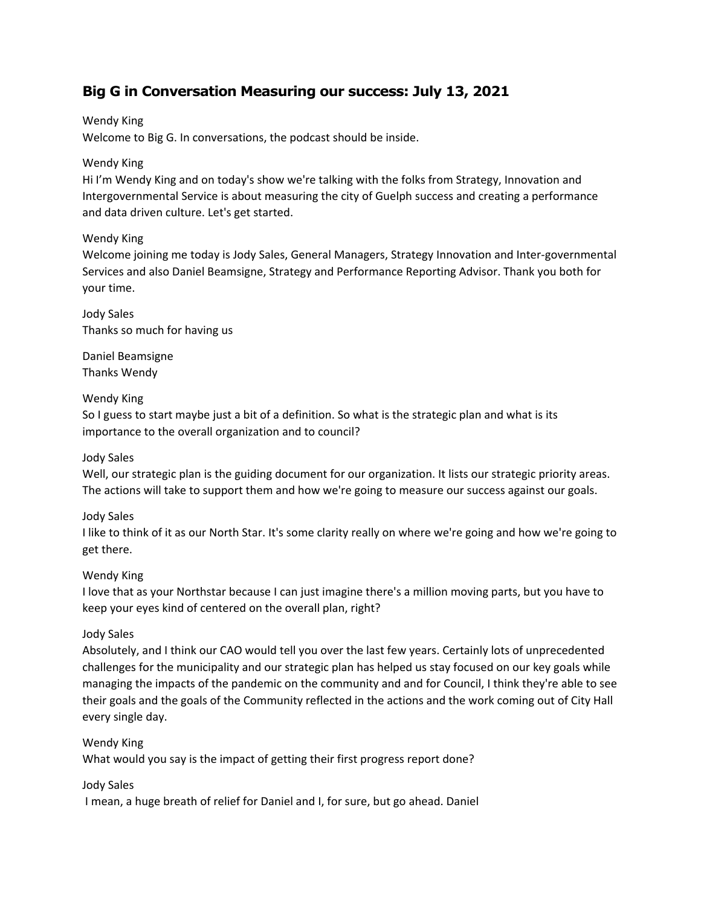# **Big G in Conversation Measuring our success: July 13, 2021**

Wendy King

Welcome to Big G. In conversations, the podcast should be inside.

### Wendy King

Hi I'm Wendy King and on today's show we're talking with the folks from Strategy, Innovation and Intergovernmental Service is about measuring the city of Guelph success and creating a performance and data driven culture. Let's get started.

# Wendy King

Welcome joining me today is Jody Sales, General Managers, Strategy Innovation and Inter-governmental Services and also Daniel Beamsigne, Strategy and Performance Reporting Advisor. Thank you both for your time.

Jody Sales Thanks so much for having us

Daniel Beamsigne Thanks Wendy

# Wendy King

So I guess to start maybe just a bit of a definition. So what is the strategic plan and what is its importance to the overall organization and to council?

### Jody Sales

Well, our strategic plan is the guiding document for our organization. It lists our strategic priority areas. The actions will take to support them and how we're going to measure our success against our goals.

### Jody Sales

I like to think of it as our North Star. It's some clarity really on where we're going and how we're going to get there.

### Wendy King

I love that as your Northstar because I can just imagine there's a million moving parts, but you have to keep your eyes kind of centered on the overall plan, right?

### Jody Sales

Absolutely, and I think our CAO would tell you over the last few years. Certainly lots of unprecedented challenges for the municipality and our strategic plan has helped us stay focused on our key goals while managing the impacts of the pandemic on the community and and for Council, I think they're able to see their goals and the goals of the Community reflected in the actions and the work coming out of City Hall every single day.

### Wendy King

What would you say is the impact of getting their first progress report done?

### Jody Sales

I mean, a huge breath of relief for Daniel and I, for sure, but go ahead. Daniel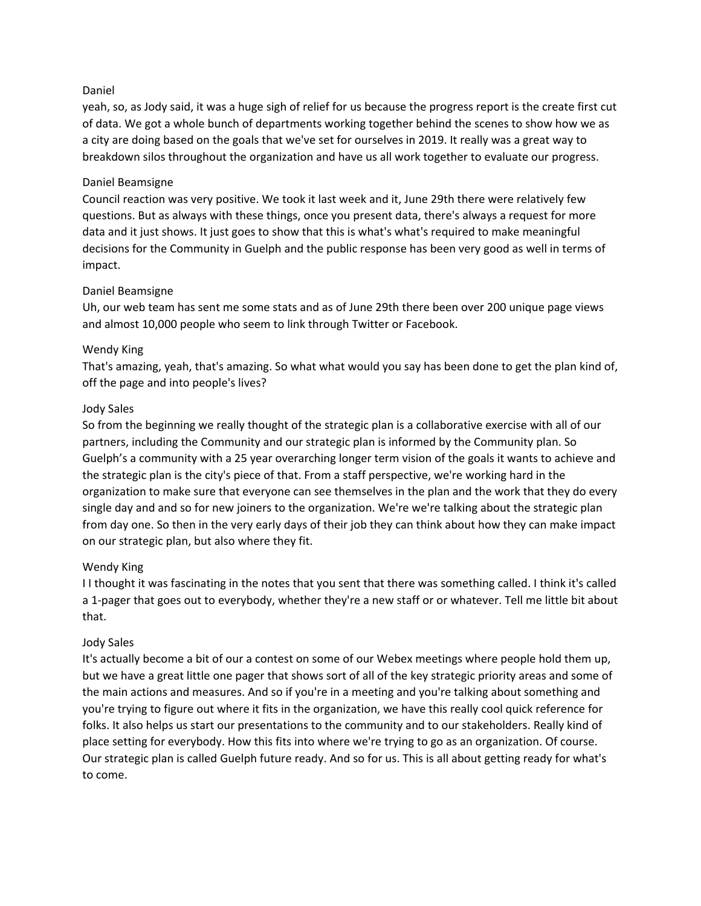### Daniel

yeah, so, as Jody said, it was a huge sigh of relief for us because the progress report is the create first cut of data. We got a whole bunch of departments working together behind the scenes to show how we as a city are doing based on the goals that we've set for ourselves in 2019. It really was a great way to breakdown silos throughout the organization and have us all work together to evaluate our progress.

### Daniel Beamsigne

Council reaction was very positive. We took it last week and it, June 29th there were relatively few questions. But as always with these things, once you present data, there's always a request for more data and it just shows. It just goes to show that this is what's what's required to make meaningful decisions for the Community in Guelph and the public response has been very good as well in terms of impact.

### Daniel Beamsigne

Uh, our web team has sent me some stats and as of June 29th there been over 200 unique page views and almost 10,000 people who seem to link through Twitter or Facebook.

### Wendy King

That's amazing, yeah, that's amazing. So what what would you say has been done to get the plan kind of, off the page and into people's lives?

### Jody Sales

So from the beginning we really thought of the strategic plan is a collaborative exercise with all of our partners, including the Community and our strategic plan is informed by the Community plan. So Guelph's a community with a 25 year overarching longer term vision of the goals it wants to achieve and the strategic plan is the city's piece of that. From a staff perspective, we're working hard in the organization to make sure that everyone can see themselves in the plan and the work that they do every single day and and so for new joiners to the organization. We're we're talking about the strategic plan from day one. So then in the very early days of their job they can think about how they can make impact on our strategic plan, but also where they fit.

### Wendy King

I I thought it was fascinating in the notes that you sent that there was something called. I think it's called a 1-pager that goes out to everybody, whether they're a new staff or or whatever. Tell me little bit about that.

#### Jody Sales

It's actually become a bit of our a contest on some of our Webex meetings where people hold them up, but we have a great little one pager that shows sort of all of the key strategic priority areas and some of the main actions and measures. And so if you're in a meeting and you're talking about something and you're trying to figure out where it fits in the organization, we have this really cool quick reference for folks. It also helps us start our presentations to the community and to our stakeholders. Really kind of place setting for everybody. How this fits into where we're trying to go as an organization. Of course. Our strategic plan is called Guelph future ready. And so for us. This is all about getting ready for what's to come.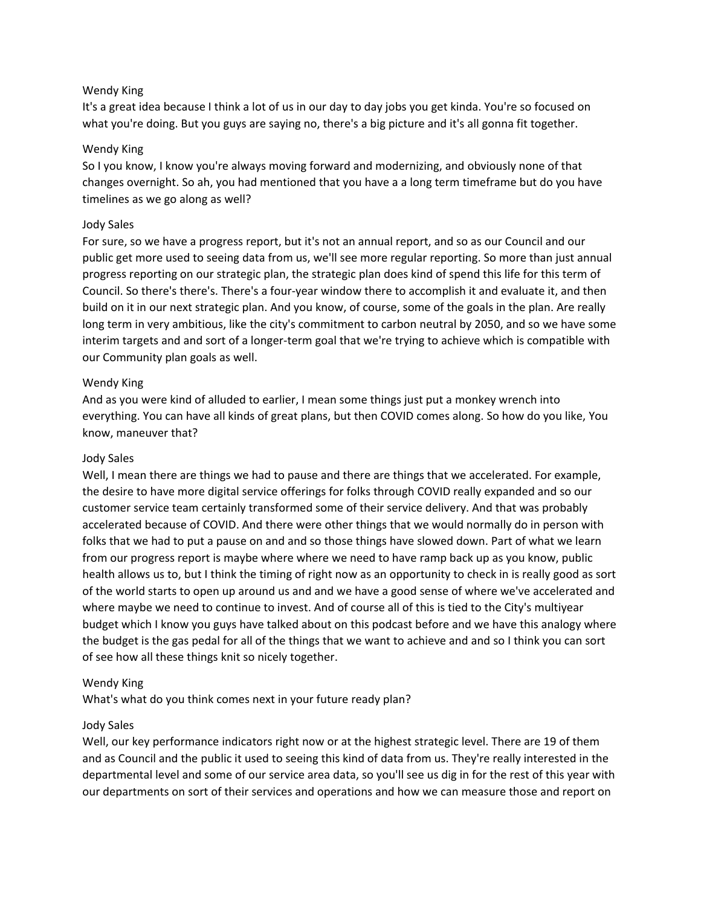### Wendy King

It's a great idea because I think a lot of us in our day to day jobs you get kinda. You're so focused on what you're doing. But you guys are saying no, there's a big picture and it's all gonna fit together.

### Wendy King

So I you know, I know you're always moving forward and modernizing, and obviously none of that changes overnight. So ah, you had mentioned that you have a a long term timeframe but do you have timelines as we go along as well?

### Jody Sales

For sure, so we have a progress report, but it's not an annual report, and so as our Council and our public get more used to seeing data from us, we'll see more regular reporting. So more than just annual progress reporting on our strategic plan, the strategic plan does kind of spend this life for this term of Council. So there's there's. There's a four-year window there to accomplish it and evaluate it, and then build on it in our next strategic plan. And you know, of course, some of the goals in the plan. Are really long term in very ambitious, like the city's commitment to carbon neutral by 2050, and so we have some interim targets and and sort of a longer-term goal that we're trying to achieve which is compatible with our Community plan goals as well.

### Wendy King

And as you were kind of alluded to earlier, I mean some things just put a monkey wrench into everything. You can have all kinds of great plans, but then COVID comes along. So how do you like, You know, maneuver that?

#### Jody Sales

Well, I mean there are things we had to pause and there are things that we accelerated. For example, the desire to have more digital service offerings for folks through COVID really expanded and so our customer service team certainly transformed some of their service delivery. And that was probably accelerated because of COVID. And there were other things that we would normally do in person with folks that we had to put a pause on and and so those things have slowed down. Part of what we learn from our progress report is maybe where where we need to have ramp back up as you know, public health allows us to, but I think the timing of right now as an opportunity to check in is really good as sort of the world starts to open up around us and and we have a good sense of where we've accelerated and where maybe we need to continue to invest. And of course all of this is tied to the City's multiyear budget which I know you guys have talked about on this podcast before and we have this analogy where the budget is the gas pedal for all of the things that we want to achieve and and so I think you can sort of see how all these things knit so nicely together.

#### Wendy King

What's what do you think comes next in your future ready plan?

#### Jody Sales

Well, our key performance indicators right now or at the highest strategic level. There are 19 of them and as Council and the public it used to seeing this kind of data from us. They're really interested in the departmental level and some of our service area data, so you'll see us dig in for the rest of this year with our departments on sort of their services and operations and how we can measure those and report on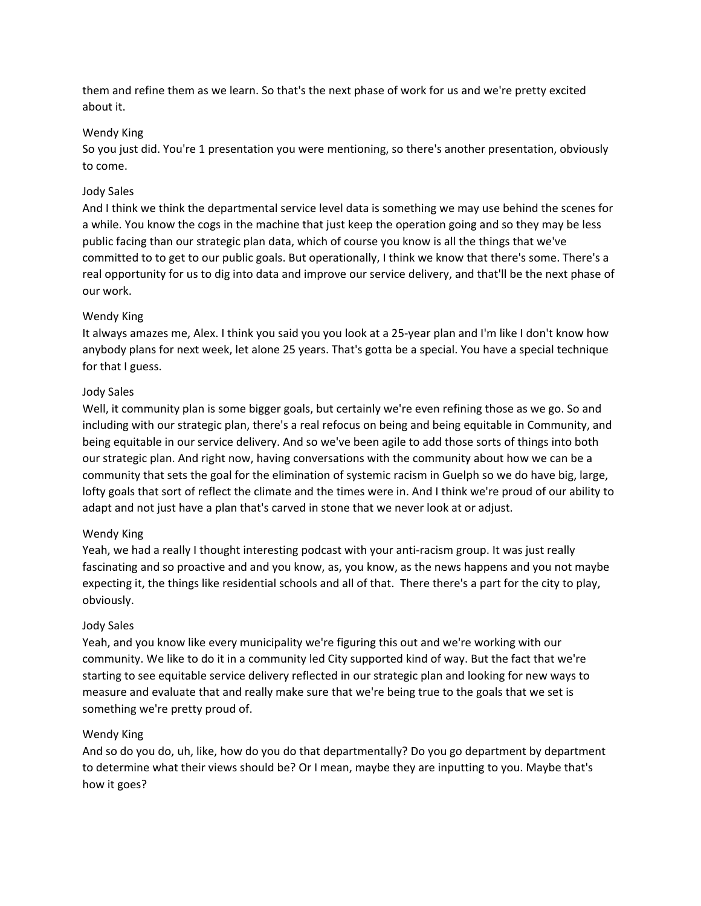them and refine them as we learn. So that's the next phase of work for us and we're pretty excited about it.

# Wendy King

So you just did. You're 1 presentation you were mentioning, so there's another presentation, obviously to come.

### Jody Sales

And I think we think the departmental service level data is something we may use behind the scenes for a while. You know the cogs in the machine that just keep the operation going and so they may be less public facing than our strategic plan data, which of course you know is all the things that we've committed to to get to our public goals. But operationally, I think we know that there's some. There's a real opportunity for us to dig into data and improve our service delivery, and that'll be the next phase of our work.

# Wendy King

It always amazes me, Alex. I think you said you you look at a 25-year plan and I'm like I don't know how anybody plans for next week, let alone 25 years. That's gotta be a special. You have a special technique for that I guess.

# Jody Sales

Well, it community plan is some bigger goals, but certainly we're even refining those as we go. So and including with our strategic plan, there's a real refocus on being and being equitable in Community, and being equitable in our service delivery. And so we've been agile to add those sorts of things into both our strategic plan. And right now, having conversations with the community about how we can be a community that sets the goal for the elimination of systemic racism in Guelph so we do have big, large, lofty goals that sort of reflect the climate and the times were in. And I think we're proud of our ability to adapt and not just have a plan that's carved in stone that we never look at or adjust.

# Wendy King

Yeah, we had a really I thought interesting podcast with your anti-racism group. It was just really fascinating and so proactive and and you know, as, you know, as the news happens and you not maybe expecting it, the things like residential schools and all of that. There there's a part for the city to play, obviously.

### Jody Sales

Yeah, and you know like every municipality we're figuring this out and we're working with our community. We like to do it in a community led City supported kind of way. But the fact that we're starting to see equitable service delivery reflected in our strategic plan and looking for new ways to measure and evaluate that and really make sure that we're being true to the goals that we set is something we're pretty proud of.

### Wendy King

And so do you do, uh, like, how do you do that departmentally? Do you go department by department to determine what their views should be? Or I mean, maybe they are inputting to you. Maybe that's how it goes?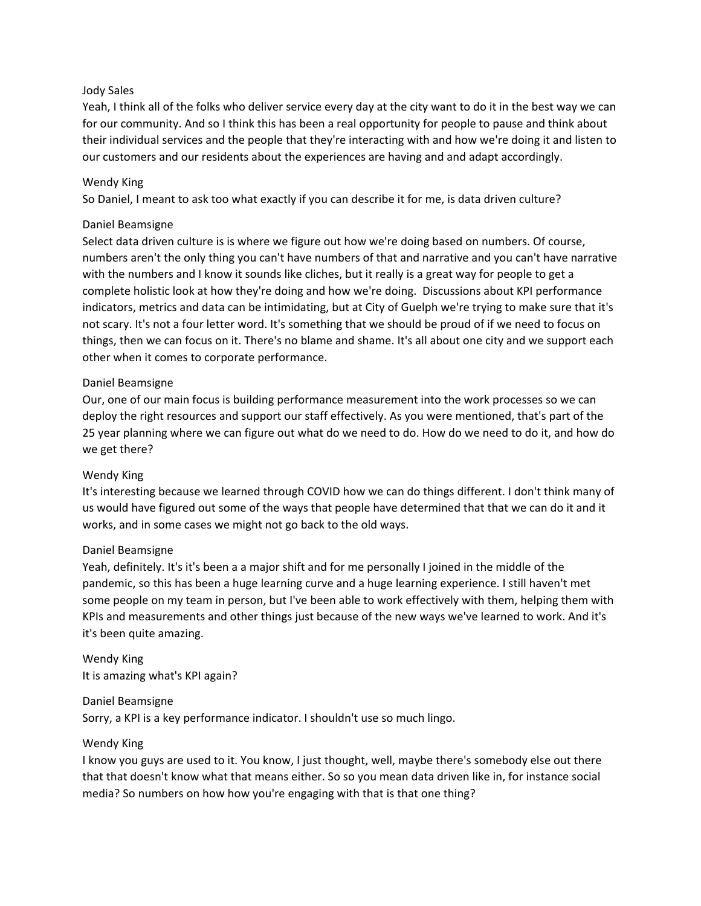### Jody Sales

Yeah, I think all of the folks who deliver service every day at the city want to do it in the best way we can for our community. And so I think this has been a real opportunity for people to pause and think about their individual services and the people that they're interacting with and how we're doing it and listen to our customers and our residents about the experiences are having and and adapt accordingly.

### Wendy King

So Daniel, I meant to ask too what exactly if you can describe it for me, is data driven culture?

### Daniel Beamsigne

Select data driven culture is is where we figure out how we're doing based on numbers. Of course, numbers aren't the only thing you can't have numbers of that and narrative and you can't have narrative with the numbers and I know it sounds like cliches, but it really is a great way for people to get a complete holistic look at how they're doing and how we're doing. Discussions about KPI performance indicators, metrics and data can be intimidating, but at City of Guelph we're trying to make sure that it's not scary. It's not a four letter word. It's something that we should be proud of if we need to focus on things, then we can focus on it. There's no blame and shame. It's all about one city and we support each other when it comes to corporate performance.

### Daniel Beamsigne

Our, one of our main focus is building performance measurement into the work processes so we can deploy the right resources and support our staff effectively. As you were mentioned, that's part of the 25 year planning where we can figure out what do we need to do. How do we need to do it, and how do we get there?

#### Wendy King

It's interesting because we learned through COVID how we can do things different. I don't think many of us would have figured out some of the ways that people have determined that that we can do it and it works, and in some cases we might not go back to the old ways.

#### Daniel Beamsigne

Yeah, definitely. It's it's been a a major shift and for me personally I joined in the middle of the pandemic, so this has been a huge learning curve and a huge learning experience. I still haven't met some people on my team in person, but I've been able to work effectively with them, helping them with KPIs and measurements and other things just because of the new ways we've learned to work. And it's it's been quite amazing.

Wendy King It is amazing what's KPI again?

Daniel Beamsigne Sorry, a KPI is a key performance indicator. I shouldn't use so much lingo.

#### Wendy King

I know you guys are used to it. You know, I just thought, well, maybe there's somebody else out there that that doesn't know what that means either. So so you mean data driven like in, for instance social media? So numbers on how how you're engaging with that is that one thing?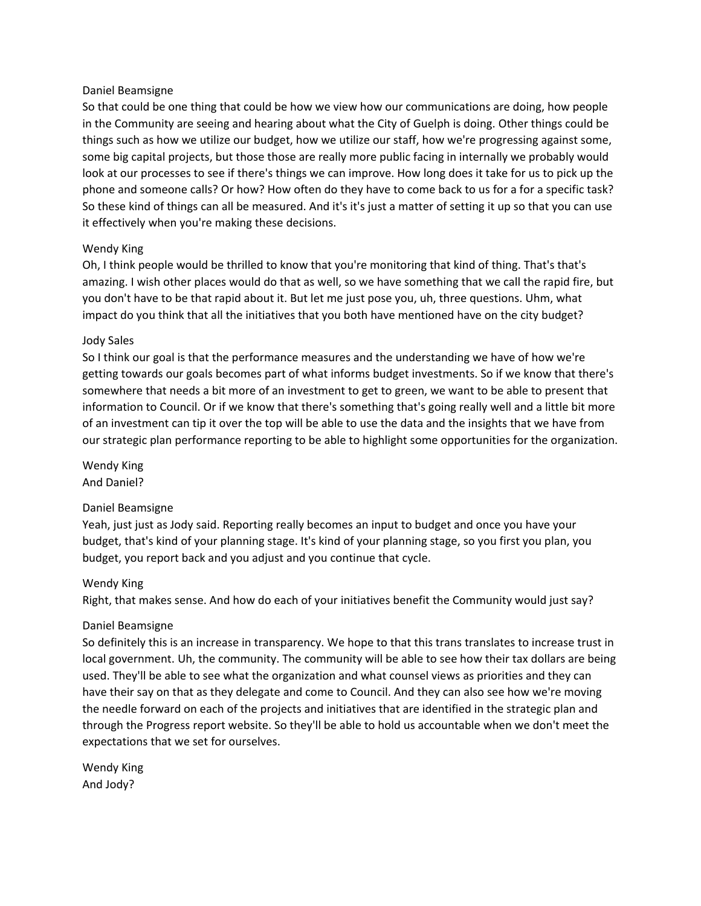#### Daniel Beamsigne

So that could be one thing that could be how we view how our communications are doing, how people in the Community are seeing and hearing about what the City of Guelph is doing. Other things could be things such as how we utilize our budget, how we utilize our staff, how we're progressing against some, some big capital projects, but those those are really more public facing in internally we probably would look at our processes to see if there's things we can improve. How long does it take for us to pick up the phone and someone calls? Or how? How often do they have to come back to us for a for a specific task? So these kind of things can all be measured. And it's it's just a matter of setting it up so that you can use it effectively when you're making these decisions.

### Wendy King

Oh, I think people would be thrilled to know that you're monitoring that kind of thing. That's that's amazing. I wish other places would do that as well, so we have something that we call the rapid fire, but you don't have to be that rapid about it. But let me just pose you, uh, three questions. Uhm, what impact do you think that all the initiatives that you both have mentioned have on the city budget?

### Jody Sales

So I think our goal is that the performance measures and the understanding we have of how we're getting towards our goals becomes part of what informs budget investments. So if we know that there's somewhere that needs a bit more of an investment to get to green, we want to be able to present that information to Council. Or if we know that there's something that's going really well and a little bit more of an investment can tip it over the top will be able to use the data and the insights that we have from our strategic plan performance reporting to be able to highlight some opportunities for the organization.

Wendy King And Daniel?

### Daniel Beamsigne

Yeah, just just as Jody said. Reporting really becomes an input to budget and once you have your budget, that's kind of your planning stage. It's kind of your planning stage, so you first you plan, you budget, you report back and you adjust and you continue that cycle.

#### Wendy King

Right, that makes sense. And how do each of your initiatives benefit the Community would just say?

### Daniel Beamsigne

So definitely this is an increase in transparency. We hope to that this trans translates to increase trust in local government. Uh, the community. The community will be able to see how their tax dollars are being used. They'll be able to see what the organization and what counsel views as priorities and they can have their say on that as they delegate and come to Council. And they can also see how we're moving the needle forward on each of the projects and initiatives that are identified in the strategic plan and through the Progress report website. So they'll be able to hold us accountable when we don't meet the expectations that we set for ourselves.

Wendy King And Jody?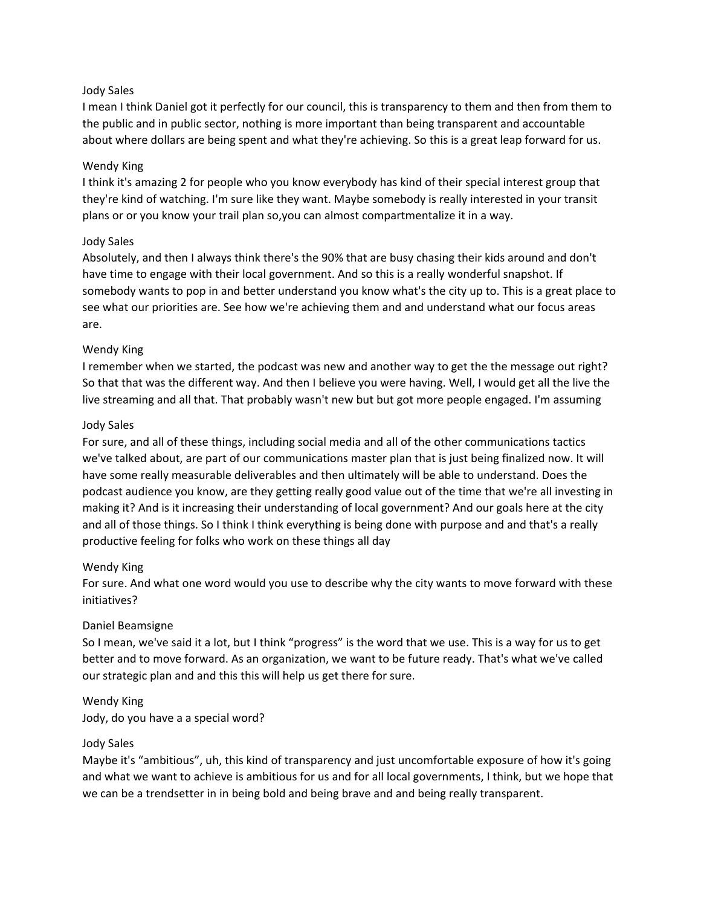### Jody Sales

I mean I think Daniel got it perfectly for our council, this is transparency to them and then from them to the public and in public sector, nothing is more important than being transparent and accountable about where dollars are being spent and what they're achieving. So this is a great leap forward for us.

#### Wendy King

I think it's amazing 2 for people who you know everybody has kind of their special interest group that they're kind of watching. I'm sure like they want. Maybe somebody is really interested in your transit plans or or you know your trail plan so,you can almost compartmentalize it in a way.

### Jody Sales

Absolutely, and then I always think there's the 90% that are busy chasing their kids around and don't have time to engage with their local government. And so this is a really wonderful snapshot. If somebody wants to pop in and better understand you know what's the city up to. This is a great place to see what our priorities are. See how we're achieving them and and understand what our focus areas are.

### Wendy King

I remember when we started, the podcast was new and another way to get the the message out right? So that that was the different way. And then I believe you were having. Well, I would get all the live the live streaming and all that. That probably wasn't new but but got more people engaged. I'm assuming

### Jody Sales

For sure, and all of these things, including social media and all of the other communications tactics we've talked about, are part of our communications master plan that is just being finalized now. It will have some really measurable deliverables and then ultimately will be able to understand. Does the podcast audience you know, are they getting really good value out of the time that we're all investing in making it? And is it increasing their understanding of local government? And our goals here at the city and all of those things. So I think I think everything is being done with purpose and and that's a really productive feeling for folks who work on these things all day

#### Wendy King

For sure. And what one word would you use to describe why the city wants to move forward with these initiatives?

#### Daniel Beamsigne

So I mean, we've said it a lot, but I think "progress" is the word that we use. This is a way for us to get better and to move forward. As an organization, we want to be future ready. That's what we've called our strategic plan and and this this will help us get there for sure.

#### Wendy King

Jody, do you have a a special word?

#### Jody Sales

Maybe it's "ambitious", uh, this kind of transparency and just uncomfortable exposure of how it's going and what we want to achieve is ambitious for us and for all local governments, I think, but we hope that we can be a trendsetter in in being bold and being brave and and being really transparent.